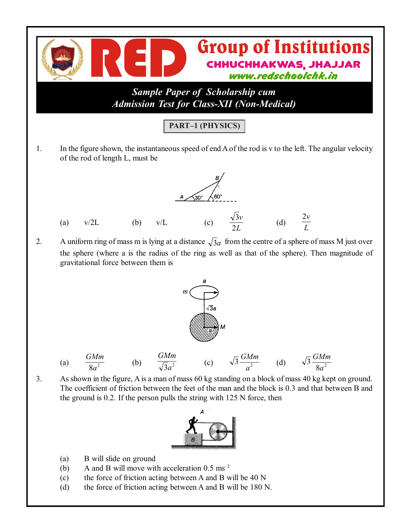

2. A uniform ring of mass m is lying at a distance  $\sqrt{3}a$  from the centre of a sphere of mass M just over the sphere (where a is the radius of the ring as well as that of the sphere). Then magnitude of gravitational force between them is



3. As shown in the figure, A is a man of mass 60 kg standing on a block of mass 40 kg kept on ground. The coefficient of friction between the feet of the man and the block is 0.3 and that between B and the ground is 0.2. If the person pulls the string with 125 N force, then



- (a) B will slide on ground
- (b) A and B will move with acceleration  $0.5 \text{ ms}^{-2}$
- (c) the force of friction acting between A and B will be 40 N
- (d) the force of friction acting between A and B will be 180 N.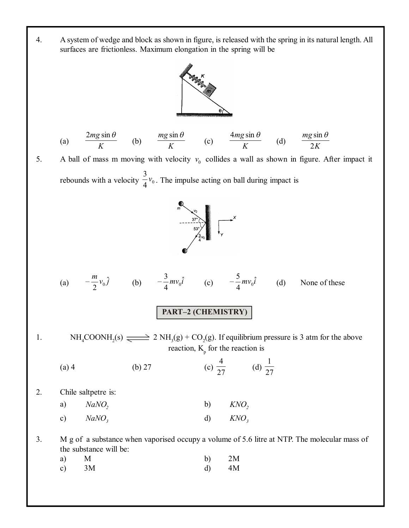4. A system of wedge and block as shown in figure, is released with the spring in its natural length. All surfaces are frictionless. Maximum elongation in the spring will be



(a) 
$$
\frac{2mg\sin\theta}{K}
$$
 (b)  $\frac{mg\sin\theta}{K}$  (c)  $\frac{4mg\sin\theta}{K}$  (d)  $\frac{mg\sin\theta}{2K}$ 

5. A ball of mass m moving with velocity  $v_0$  collides a wall as shown in figure. After impact it rebounds with a velocity  $\frac{1}{4}v_0$  $\frac{3}{4}v_0$ . The impulse acting on ball during impact is



(a) 
$$
-\frac{m}{2}v_0\hat{j}
$$
 (b)  $-\frac{3}{4}mv_0\hat{i}$  (c)  $-\frac{5}{4}mv_0\hat{i}$  (d) None of these

## **PART–2 (CHEMISTRY)**

1.  $NH_4COONH_2(s) \rightleftharpoons 2 NH_3(g) + CO_2(g)$ . If equilibrium pressure is 3 atm for the above reaction,  $K_{p}$  for the reaction is

(a) 4 (b) 27 (c) 
$$
\frac{4}{27}
$$
 (d)  $\frac{1}{27}$ 

2. Chile saltpetre is:

| a)           | $NaNO$ ,          | b) | $KNO$ ,          |
|--------------|-------------------|----|------------------|
| $\mathbf{c}$ | NaNO <sub>3</sub> | d) | KNO <sub>3</sub> |

3. M g of a substance when vaporised occupy a volume of 5.6 litre at NTP. The molecular mass of the substance will be:

| $a)$ M |         | b) $2M$ |
|--------|---------|---------|
|        | c) $3M$ | $d)$ 4M |